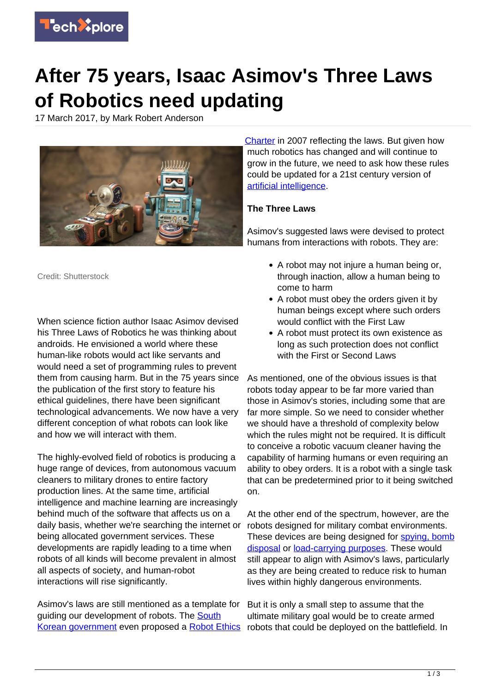

## **After 75 years, Isaac Asimov's Three Laws of Robotics need updating**

17 March 2017, by Mark Robert Anderson



[Charter](https://akikok012um1.wordpress.com/south-korean-robot-ethics-charter-2012/) in 2007 reflecting the laws. But given how much robotics has changed and will continue to grow in the future, we need to ask how these rules could be updated for a 21st century version of [artificial intelligence.](https://techxplore.com/tags/artificial+intelligence/)

## **The Three Laws**

Asimov's suggested laws were devised to protect humans from interactions with robots. They are:

Credit: Shutterstock

When science fiction author Isaac Asimov devised his Three Laws of Robotics he was thinking about androids. He envisioned a world where these human-like robots would act like servants and would need a set of programming rules to prevent them from causing harm. But in the 75 years since the publication of the first story to feature his ethical guidelines, there have been significant technological advancements. We now have a very different conception of what robots can look like and how we will interact with them.

The highly-evolved field of robotics is producing a huge range of devices, from autonomous vacuum cleaners to military drones to entire factory production lines. At the same time, artificial intelligence and machine learning are increasingly behind much of the software that affects us on a daily basis, whether we're searching the internet or being allocated government services. These developments are rapidly leading to a time when robots of all kinds will become prevalent in almost all aspects of society, and human-robot interactions will rise significantly.

Asimov's laws are still mentioned as a template for guiding our development of robots. The **[South](http://news.bbc.co.uk/1/hi/technology/6425927.stm)** [Korean government](http://news.bbc.co.uk/1/hi/technology/6425927.stm) even proposed a [Robot Ethics](https://akikok012um1.wordpress.com/south-korean-robot-ethics-charter-2012/)

- A robot may not injure a human being or, through inaction, allow a human being to come to harm
- A robot must obey the orders given it by human beings except where such orders would conflict with the First Law
- A robot must protect its own existence as long as such protection does not conflict with the First or Second Laws

As mentioned, one of the obvious issues is that robots today appear to be far more varied than those in Asimov's stories, including some that are far more simple. So we need to consider whether we should have a threshold of complexity below which the rules might not be required. It is difficult to conceive a robotic vacuum cleaner having the capability of harming humans or even requiring an ability to obey orders. It is a robot with a single task that can be predetermined prior to it being switched on.

At the other end of the spectrum, however, are the robots designed for military combat environments. These devices are being designed for [spying, bomb](http://www.mirror.co.uk/news/world-news/chinese-army-reveal-chilling-biomorphic-9485104) [disposal](http://www.mirror.co.uk/news/world-news/chinese-army-reveal-chilling-biomorphic-9485104) or **load-carrying purposes**. These would still appear to align with Asimov's laws, particularly as they are being created to reduce risk to human lives within highly dangerous environments.

But it is only a small step to assume that the ultimate military goal would be to create armed robots that could be deployed on the battlefield. In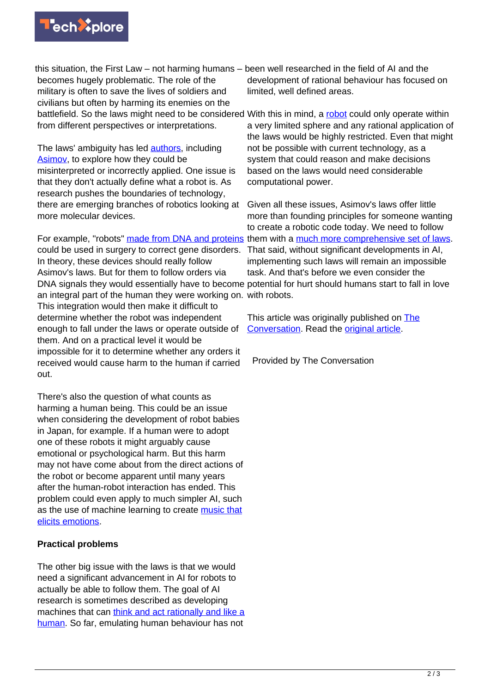

this situation, the First Law – not harming humans – been well researched in the field of AI and the becomes hugely problematic. The role of the military is often to save the lives of soldiers and civilians but often by harming its enemies on the battlefield. So the laws might need to be considered With this in mind, a [robot](https://techxplore.com/tags/robot/) could only operate within from different perspectives or interpretations.

The laws' ambiguity has led [authors,](https://en.wikipedia.org/wiki/Three_Laws_of_Robotics#Alterations) including [Asimov](http://www.historyofinformation.com/expanded.php?id=4108), to explore how they could be misinterpreted or incorrectly applied. One issue is that they don't actually define what a robot is. As research pushes the boundaries of technology, there are emerging branches of robotics looking at more molecular devices.

For example, "robots" [made from DNA and proteins](https://www.sciencedaily.com/releases/2017/03/170302090817.htm) them with a [much more comprehensive set of laws](https://akikok012um1.wordpress.com/japans-ten-principles-of-robot-law/). could be used in surgery to correct gene disorders. In theory, these devices should really follow Asimov's laws. But for them to follow orders via DNA signals they would essentially have to become potential for hurt should humans start to fall in love an integral part of the human they were working on. with robots. This integration would then make it difficult to determine whether the robot was independent enough to fall under the laws or operate outside of them. And on a practical level it would be impossible for it to determine whether any orders it received would cause harm to the human if carried out.

There's also the question of what counts as harming a human being. This could be an issue when considering the development of robot babies in Japan, for example. If a human were to adopt one of these robots it might arguably cause emotional or psychological harm. But this harm may not have come about from the direct actions of the robot or become apparent until many years after the human-robot interaction has ended. This problem could even apply to much simpler AI, such as the use of machine learning to create [music that](https://www.sciencedaily.com/releases/2017/03/170309120651.htm) [elicits emotions.](https://www.sciencedaily.com/releases/2017/03/170309120651.htm)

## **Practical problems**

The other big issue with the laws is that we would need a significant advancement in AI for robots to actually be able to follow them. The goal of AI research is sometimes described as developing machines that can [think and act rationally and like a](https://people.eecs.berkeley.edu/~russell/intro.html) [human.](https://people.eecs.berkeley.edu/~russell/intro.html) So far, emulating human behaviour has not

development of rational behaviour has focused on limited, well defined areas.

a very limited sphere and any rational application of the laws would be highly restricted. Even that might not be possible with current technology, as a system that could reason and make decisions based on the laws would need considerable computational power.

Given all these issues, Asimov's laws offer little more than founding principles for someone wanting to create a robotic code today. We need to follow That said, without significant developments in AI, implementing such laws will remain an impossible task. And that's before we even consider the

This article was originally published on [The](http://theconversation.com) [Conversation](http://theconversation.com). Read the [original article.](https://theconversation.com/after-75-years-isaac-asimovs-three-laws-of-robotics-need-updating-74501)

Provided by The Conversation